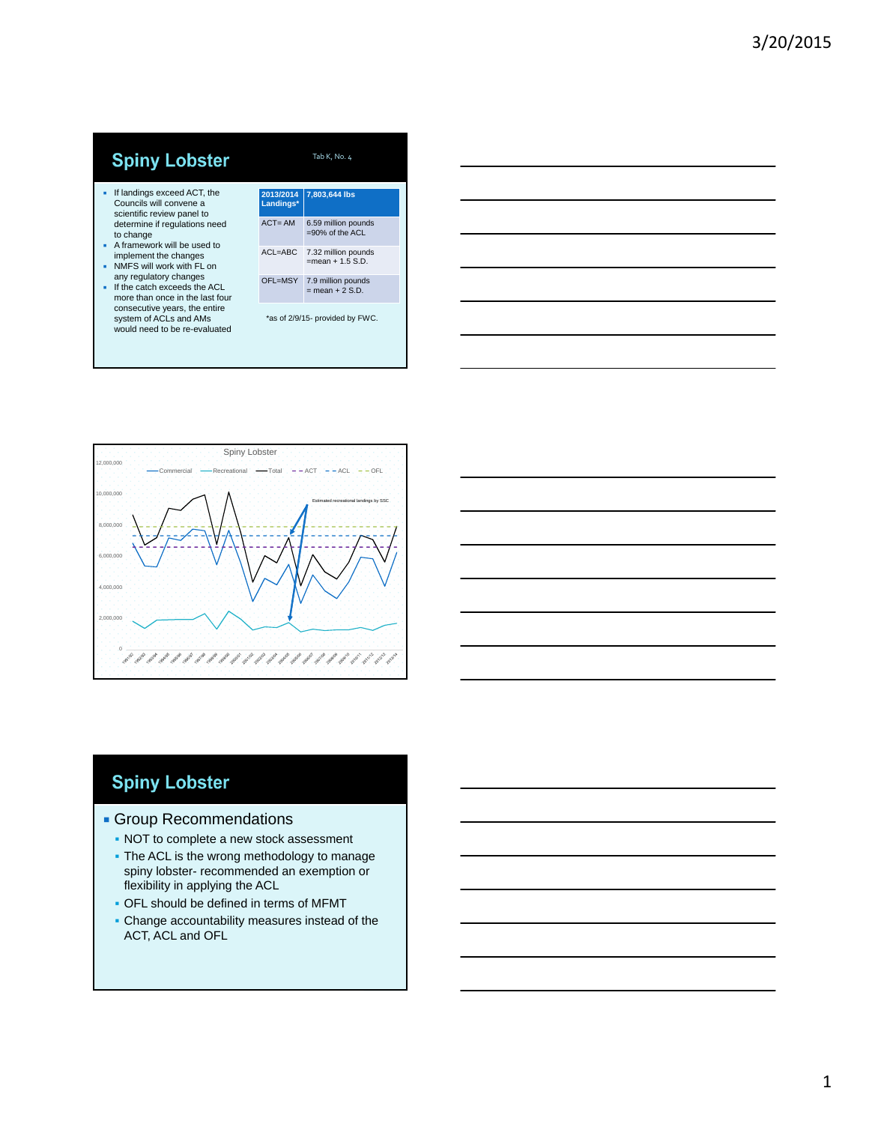# **Spiny Lobster**

- If landings exceed ACT, the Councils will convene a scientific review panel to determine if regulations need
- to change A framework will be used to implement the changes
- NMFS will work with FL on any regulatory changes
- If the catch exceeds the ACL more than once in the last four consecutive years, the entire system of ACLs and AMs would need to be re-evaluated

|                                 | 2013/2014<br>Landings* | 7,803,644 lbs                                                |
|---------------------------------|------------------------|--------------------------------------------------------------|
|                                 | $ACT = AM$             | 6.59 million pounds<br>$=90\%$ of the ACL                    |
|                                 | $ACL = ABC$            | 7.32 million pounds<br>$=$ mean + 1.5 $\text{S} \, \text{D}$ |
|                                 | OFL=MSY                | 7.9 million pounds<br>$=$ mean + 2 S D                       |
| *as of 2/9/15- provided by FWC. |                        |                                                              |

Tab K, No. 4





## **Spiny Lobster**

#### **Group Recommendations**

- NOT to complete a new stock assessment
- The ACL is the wrong methodology to manage spiny lobster- recommended an exemption or flexibility in applying the ACL
- OFL should be defined in terms of MFMT
- Change accountability measures instead of the ACT, ACL and OFL